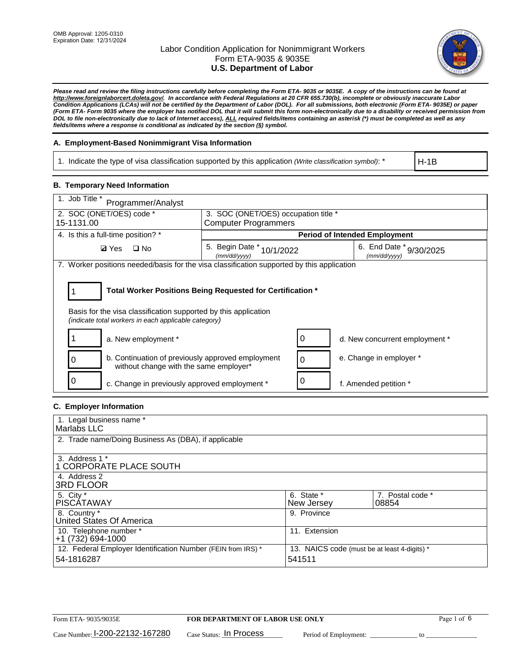

*Please read and review the filing instructions carefully before completing the Form ETA- 9035 or 9035E. A copy of the instructions can be found at http://www.foreignlaborcert.doleta.gov/. In accordance with Federal Regulations at 20 CFR 655.730(b), incomplete or obviously inaccurate Labor Condition Applications (LCAs) will not be certified by the Department of Labor (DOL). For all submissions, both electronic (Form ETA- 9035E) or paper (Form ETA- Form 9035 where the employer has notified DOL that it will submit this form non-electronically due to a disability or received permission from DOL to file non-electronically due to lack of Internet access), ALL required fields/items containing an asterisk (\*) must be completed as well as any fields/items where a response is conditional as indicated by the section (§) symbol.* 

### **A. Employment-Based Nonimmigrant Visa Information**

1. Indicate the type of visa classification supported by this application *(Write classification symbol)*: \*

H-1B

### **B. Temporary Need Information**

| 1. Job Title *<br>Programmer/Analyst                                                                                                                                                  |                                                                                         |   |                                      |  |  |  |
|---------------------------------------------------------------------------------------------------------------------------------------------------------------------------------------|-----------------------------------------------------------------------------------------|---|--------------------------------------|--|--|--|
| 2. SOC (ONET/OES) code *                                                                                                                                                              | 3. SOC (ONET/OES) occupation title *                                                    |   |                                      |  |  |  |
| 15-1131.00                                                                                                                                                                            | <b>Computer Programmers</b>                                                             |   |                                      |  |  |  |
| 4. Is this a full-time position? *                                                                                                                                                    |                                                                                         |   | <b>Period of Intended Employment</b> |  |  |  |
| $\Box$ No<br><b>Ø</b> Yes                                                                                                                                                             | 5. Begin Date *<br>6. End Date * 9/30/2025<br>10/1/2022<br>(mm/dd/vvvv)<br>(mm/dd/yyyy) |   |                                      |  |  |  |
| 7. Worker positions needed/basis for the visa classification supported by this application                                                                                            |                                                                                         |   |                                      |  |  |  |
| Total Worker Positions Being Requested for Certification *<br>Basis for the visa classification supported by this application<br>(indicate total workers in each applicable category) |                                                                                         |   |                                      |  |  |  |
| a. New employment *                                                                                                                                                                   |                                                                                         | 0 | d. New concurrent employment *       |  |  |  |
| b. Continuation of previously approved employment<br>without change with the same employer*                                                                                           |                                                                                         | 0 | e. Change in employer *              |  |  |  |
| c. Change in previously approved employment *                                                                                                                                         |                                                                                         |   | f. Amended petition *                |  |  |  |

### **C. Employer Information**

| 1. Legal business name *                                                                                     |               |                  |  |  |  |  |
|--------------------------------------------------------------------------------------------------------------|---------------|------------------|--|--|--|--|
| Marlabs LLC                                                                                                  |               |                  |  |  |  |  |
| 2. Trade name/Doing Business As (DBA), if applicable                                                         |               |                  |  |  |  |  |
|                                                                                                              |               |                  |  |  |  |  |
| 3. Address 1 *                                                                                               |               |                  |  |  |  |  |
| 1 CORPORATE PLACE SOUTH                                                                                      |               |                  |  |  |  |  |
| 4. Address 2                                                                                                 |               |                  |  |  |  |  |
| <b>3RD FLOOR</b>                                                                                             |               |                  |  |  |  |  |
| 5. City *                                                                                                    | 6. State *    | 7. Postal code * |  |  |  |  |
| PISCÁTAWAY                                                                                                   | New Jersey    | 08854            |  |  |  |  |
| 8. Country *                                                                                                 | 9. Province   |                  |  |  |  |  |
| United States Of America                                                                                     |               |                  |  |  |  |  |
| 10. Telephone number *                                                                                       | 11. Extension |                  |  |  |  |  |
| $+1(732)694-1000$                                                                                            |               |                  |  |  |  |  |
| 12. Federal Employer Identification Number (FEIN from IRS) *<br>13. NAICS code (must be at least 4-digits) * |               |                  |  |  |  |  |
| 54-1816287                                                                                                   | 541511        |                  |  |  |  |  |
|                                                                                                              |               |                  |  |  |  |  |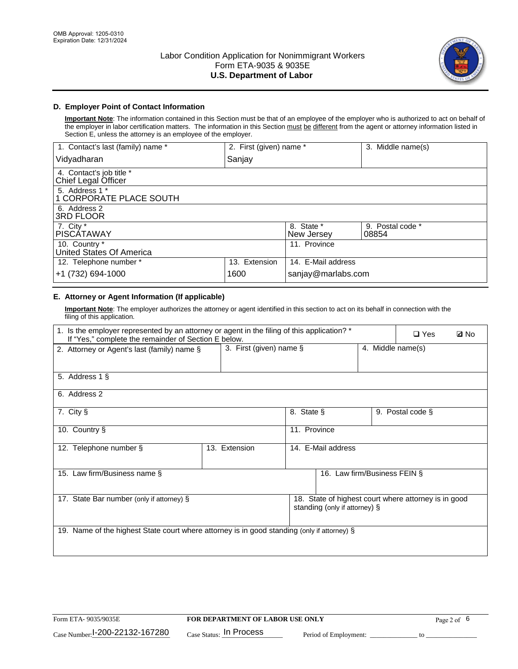

### **D. Employer Point of Contact Information**

**Important Note**: The information contained in this Section must be that of an employee of the employer who is authorized to act on behalf of the employer in labor certification matters. The information in this Section must be different from the agent or attorney information listed in Section E, unless the attorney is an employee of the employer.

| 1. Contact's last (family) name *               | 2. First (given) name * |                          | 3. Middle name(s)         |
|-------------------------------------------------|-------------------------|--------------------------|---------------------------|
| Vidyadharan                                     | Sanjay                  |                          |                           |
| 4. Contact's job title *<br>Chief Legal Officer |                         |                          |                           |
| 5. Address 1 *<br>1 CORPORATE PLACE SOUTH       |                         |                          |                           |
| 6. Address 2<br>3RD FLOOR                       |                         |                          |                           |
| 7. City $*$<br><b>PISCÁTAWAY</b>                |                         | 8. State *<br>New Jersey | 9. Postal code *<br>08854 |
| 10. Country *<br>United States Of America       |                         | 11. Province             |                           |
| 12. Telephone number *                          | 13. Extension           | 14. E-Mail address       |                           |
| +1 (732) 694-1000                               | 1600                    | sanjay@marlabs.com       |                           |

# **E. Attorney or Agent Information (If applicable)**

**Important Note**: The employer authorizes the attorney or agent identified in this section to act on its behalf in connection with the filing of this application.

| 1. Is the employer represented by an attorney or agent in the filing of this application? *<br>If "Yes," complete the remainder of Section E below. |               |                                                 |                              | $\Box$ Yes | <b>Ø</b> No |  |
|-----------------------------------------------------------------------------------------------------------------------------------------------------|---------------|-------------------------------------------------|------------------------------|------------|-------------|--|
| 2. Attorney or Agent's last (family) name §                                                                                                         |               | 3. First (given) name $\S$<br>4. Middle name(s) |                              |            |             |  |
| 5. Address 1 §                                                                                                                                      |               |                                                 |                              |            |             |  |
| 6. Address 2                                                                                                                                        |               |                                                 |                              |            |             |  |
| 8. State §<br>7. City §<br>9. Postal code §                                                                                                         |               |                                                 |                              |            |             |  |
| 11. Province<br>10. Country §                                                                                                                       |               |                                                 |                              |            |             |  |
| 12. Telephone number §                                                                                                                              | 13. Extension | 14. E-Mail address                              |                              |            |             |  |
| 15. Law firm/Business name §                                                                                                                        |               |                                                 | 16. Law firm/Business FEIN § |            |             |  |
| 18. State of highest court where attorney is in good<br>17. State Bar number (only if attorney) §<br>standing (only if attorney) §                  |               |                                                 |                              |            |             |  |
| 19. Name of the highest State court where attorney is in good standing (only if attorney) §                                                         |               |                                                 |                              |            |             |  |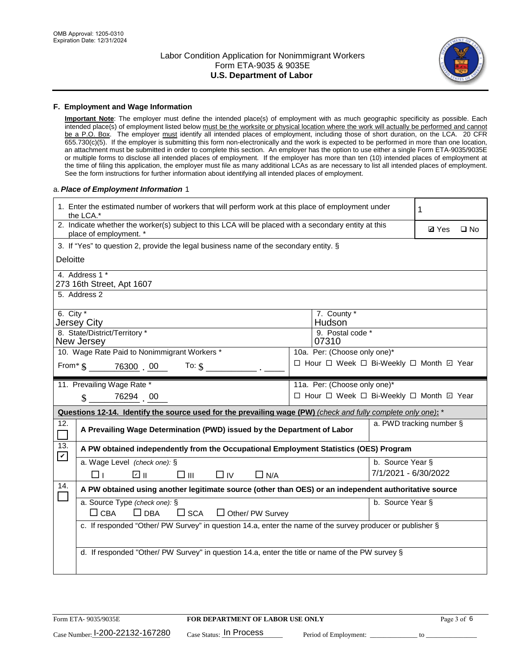

#### **F. Employment and Wage Information**

**Important Note**: The employer must define the intended place(s) of employment with as much geographic specificity as possible. Each intended place(s) of employment listed below must be the worksite or physical location where the work will actually be performed and cannot be a P.O. Box. The employer must identify all intended places of employment, including those of short duration, on the LCA. 20 CFR 655.730(c)(5). If the employer is submitting this form non-electronically and the work is expected to be performed in more than one location, an attachment must be submitted in order to complete this section. An employer has the option to use either a single Form ETA-9035/9035E or multiple forms to disclose all intended places of employment. If the employer has more than ten (10) intended places of employment at the time of filing this application, the employer must file as many additional LCAs as are necessary to list all intended places of employment. See the form instructions for further information about identifying all intended places of employment.

#### a.*Place of Employment Information* 1

|                                                                                                                                | 1. Enter the estimated number of workers that will perform work at this place of employment under<br>the LCA.*            |  |                                          |                      |              |              |  |
|--------------------------------------------------------------------------------------------------------------------------------|---------------------------------------------------------------------------------------------------------------------------|--|------------------------------------------|----------------------|--------------|--------------|--|
| 2. Indicate whether the worker(s) subject to this LCA will be placed with a secondary entity at this<br>place of employment. * |                                                                                                                           |  |                                          |                      | <b>Ø</b> Yes | $\square$ No |  |
|                                                                                                                                | 3. If "Yes" to question 2, provide the legal business name of the secondary entity. §                                     |  |                                          |                      |              |              |  |
| Deloitte                                                                                                                       |                                                                                                                           |  |                                          |                      |              |              |  |
|                                                                                                                                | 4. Address 1 *<br>273 16th Street, Apt 1607                                                                               |  |                                          |                      |              |              |  |
|                                                                                                                                | 5. Address 2                                                                                                              |  |                                          |                      |              |              |  |
|                                                                                                                                | 6. City $*$<br>7. County *<br>Hudson<br><b>Jersey City</b><br>8. State/District/Territory *<br>9. Postal code *           |  |                                          |                      |              |              |  |
|                                                                                                                                | New Jersey<br>10. Wage Rate Paid to Nonimmigrant Workers *                                                                |  | 07310<br>10a. Per: (Choose only one)*    |                      |              |              |  |
|                                                                                                                                |                                                                                                                           |  | □ Hour □ Week □ Bi-Weekly □ Month ☑ Year |                      |              |              |  |
|                                                                                                                                | From $\frac{1}{5}$ 76300 00<br>To: $$$                                                                                    |  |                                          |                      |              |              |  |
|                                                                                                                                | 11. Prevailing Wage Rate *                                                                                                |  | 11a. Per: (Choose only one)*             |                      |              |              |  |
|                                                                                                                                | 76294 00<br>$\mathbf{\$}$                                                                                                 |  | □ Hour □ Week □ Bi-Weekly □ Month ☑ Year |                      |              |              |  |
|                                                                                                                                | Questions 12-14. Identify the source used for the prevailing wage (PW) (check and fully complete only one): *             |  |                                          |                      |              |              |  |
| 12.<br>$\Box$                                                                                                                  | a. PWD tracking number §<br>A Prevailing Wage Determination (PWD) issued by the Department of Labor                       |  |                                          |                      |              |              |  |
| 13.                                                                                                                            | A PW obtained independently from the Occupational Employment Statistics (OES) Program                                     |  |                                          |                      |              |              |  |
| $\mathbf v$                                                                                                                    | a. Wage Level (check one): §                                                                                              |  |                                          | b. Source Year §     |              |              |  |
|                                                                                                                                | பெ<br>□⊪<br>$\Box$ IV<br>$\Box$ N/A<br>□⊥                                                                                 |  |                                          | 7/1/2021 - 6/30/2022 |              |              |  |
| 14.                                                                                                                            | A PW obtained using another legitimate source (other than OES) or an independent authoritative source                     |  |                                          |                      |              |              |  |
|                                                                                                                                | a. Source Type (check one): §<br>b. Source Year §<br>$\Box$ CBA<br>$\Box$ DBA<br>$\square$ SCA<br>$\Box$ Other/ PW Survey |  |                                          |                      |              |              |  |
|                                                                                                                                | c. If responded "Other/ PW Survey" in question 14.a, enter the name of the survey producer or publisher §                 |  |                                          |                      |              |              |  |
|                                                                                                                                | d. If responded "Other/ PW Survey" in question 14.a, enter the title or name of the PW survey §                           |  |                                          |                      |              |              |  |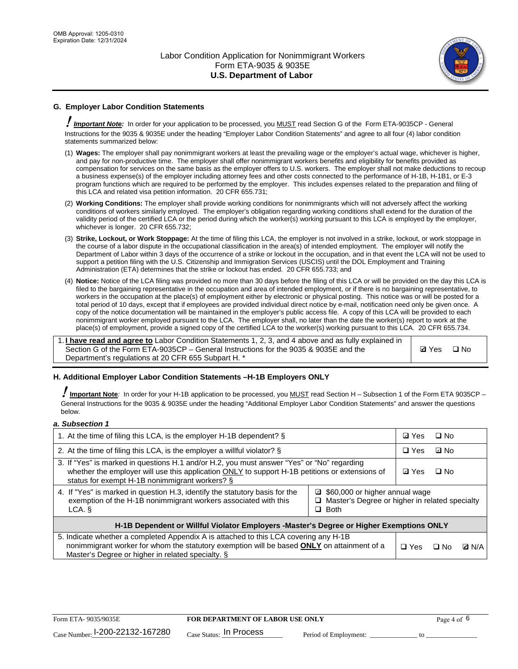

# **G. Employer Labor Condition Statements**

! *Important Note:* In order for your application to be processed, you MUST read Section G of the Form ETA-9035CP - General Instructions for the 9035 & 9035E under the heading "Employer Labor Condition Statements" and agree to all four (4) labor condition statements summarized below:

- (1) **Wages:** The employer shall pay nonimmigrant workers at least the prevailing wage or the employer's actual wage, whichever is higher, and pay for non-productive time. The employer shall offer nonimmigrant workers benefits and eligibility for benefits provided as compensation for services on the same basis as the employer offers to U.S. workers. The employer shall not make deductions to recoup a business expense(s) of the employer including attorney fees and other costs connected to the performance of H-1B, H-1B1, or E-3 program functions which are required to be performed by the employer. This includes expenses related to the preparation and filing of this LCA and related visa petition information. 20 CFR 655.731;
- (2) **Working Conditions:** The employer shall provide working conditions for nonimmigrants which will not adversely affect the working conditions of workers similarly employed. The employer's obligation regarding working conditions shall extend for the duration of the validity period of the certified LCA or the period during which the worker(s) working pursuant to this LCA is employed by the employer, whichever is longer. 20 CFR 655.732;
- (3) **Strike, Lockout, or Work Stoppage:** At the time of filing this LCA, the employer is not involved in a strike, lockout, or work stoppage in the course of a labor dispute in the occupational classification in the area(s) of intended employment. The employer will notify the Department of Labor within 3 days of the occurrence of a strike or lockout in the occupation, and in that event the LCA will not be used to support a petition filing with the U.S. Citizenship and Immigration Services (USCIS) until the DOL Employment and Training Administration (ETA) determines that the strike or lockout has ended. 20 CFR 655.733; and
- (4) **Notice:** Notice of the LCA filing was provided no more than 30 days before the filing of this LCA or will be provided on the day this LCA is filed to the bargaining representative in the occupation and area of intended employment, or if there is no bargaining representative, to workers in the occupation at the place(s) of employment either by electronic or physical posting. This notice was or will be posted for a total period of 10 days, except that if employees are provided individual direct notice by e-mail, notification need only be given once. A copy of the notice documentation will be maintained in the employer's public access file. A copy of this LCA will be provided to each nonimmigrant worker employed pursuant to the LCA. The employer shall, no later than the date the worker(s) report to work at the place(s) of employment, provide a signed copy of the certified LCA to the worker(s) working pursuant to this LCA. 20 CFR 655.734.

1. **I have read and agree to** Labor Condition Statements 1, 2, 3, and 4 above and as fully explained in Section G of the Form ETA-9035CP – General Instructions for the 9035 & 9035E and the Department's regulations at 20 CFR 655 Subpart H. \*

**Ø**Yes ロNo

#### **H. Additional Employer Labor Condition Statements –H-1B Employers ONLY**

!**Important Note***:* In order for your H-1B application to be processed, you MUST read Section H – Subsection 1 of the Form ETA 9035CP – General Instructions for the 9035 & 9035E under the heading "Additional Employer Labor Condition Statements" and answer the questions below.

#### *a. Subsection 1*

| 1. At the time of filing this LCA, is the employer H-1B dependent? §                                                                                                                                                                                            |  |  | $\square$ No |              |
|-----------------------------------------------------------------------------------------------------------------------------------------------------------------------------------------------------------------------------------------------------------------|--|--|--------------|--------------|
| 2. At the time of filing this LCA, is the employer a willful violator? $\S$                                                                                                                                                                                     |  |  | ⊡ No         |              |
| 3. If "Yes" is marked in questions H.1 and/or H.2, you must answer "Yes" or "No" regarding<br>whether the employer will use this application ONLY to support H-1B petitions or extensions of<br>status for exempt H-1B nonimmigrant workers? §                  |  |  | $\Box$ No    |              |
| 4. If "Yes" is marked in question H.3, identify the statutory basis for the<br>■ \$60,000 or higher annual wage<br>exemption of the H-1B nonimmigrant workers associated with this<br>□ Master's Degree or higher in related specialty<br>$\Box$ Both<br>LCA. § |  |  |              |              |
| H-1B Dependent or Willful Violator Employers -Master's Degree or Higher Exemptions ONLY                                                                                                                                                                         |  |  |              |              |
| 5. Indicate whether a completed Appendix A is attached to this LCA covering any H-1B<br>nonimmigrant worker for whom the statutory exemption will be based <b>ONLY</b> on attainment of a<br>Master's Degree or higher in related specialty. §                  |  |  | ⊡ No         | <b>Q</b> N/A |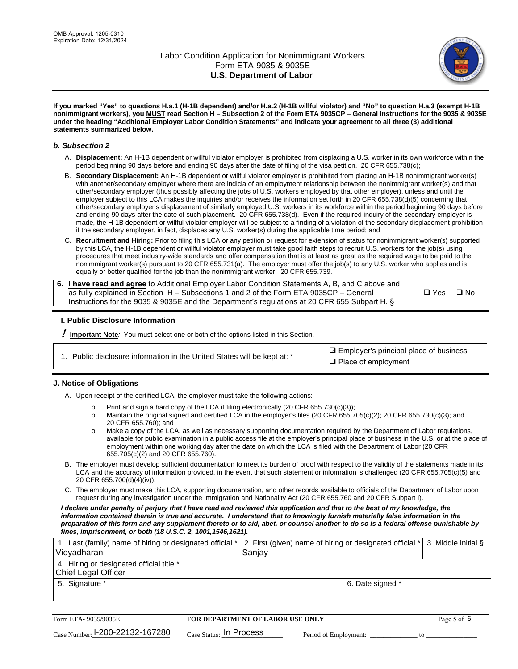

**If you marked "Yes" to questions H.a.1 (H-1B dependent) and/or H.a.2 (H-1B willful violator) and "No" to question H.a.3 (exempt H-1B nonimmigrant workers), you MUST read Section H – Subsection 2 of the Form ETA 9035CP – General Instructions for the 9035 & 9035E under the heading "Additional Employer Labor Condition Statements" and indicate your agreement to all three (3) additional statements summarized below.**

#### *b. Subsection 2*

- A. **Displacement:** An H-1B dependent or willful violator employer is prohibited from displacing a U.S. worker in its own workforce within the period beginning 90 days before and ending 90 days after the date of filing of the visa petition. 20 CFR 655.738(c);
- B. **Secondary Displacement:** An H-1B dependent or willful violator employer is prohibited from placing an H-1B nonimmigrant worker(s) with another/secondary employer where there are indicia of an employment relationship between the nonimmigrant worker(s) and that other/secondary employer (thus possibly affecting the jobs of U.S. workers employed by that other employer), unless and until the employer subject to this LCA makes the inquiries and/or receives the information set forth in 20 CFR 655.738(d)(5) concerning that other/secondary employer's displacement of similarly employed U.S. workers in its workforce within the period beginning 90 days before and ending 90 days after the date of such placement. 20 CFR 655.738(d). Even if the required inquiry of the secondary employer is made, the H-1B dependent or willful violator employer will be subject to a finding of a violation of the secondary displacement prohibition if the secondary employer, in fact, displaces any U.S. worker(s) during the applicable time period; and
- C. **Recruitment and Hiring:** Prior to filing this LCA or any petition or request for extension of status for nonimmigrant worker(s) supported by this LCA, the H-1B dependent or willful violator employer must take good faith steps to recruit U.S. workers for the job(s) using procedures that meet industry-wide standards and offer compensation that is at least as great as the required wage to be paid to the nonimmigrant worker(s) pursuant to 20 CFR 655.731(a). The employer must offer the job(s) to any U.S. worker who applies and is equally or better qualified for the job than the nonimmigrant worker. 20 CFR 655.739.

| 6. I have read and agree to Additional Employer Labor Condition Statements A, B, and C above and |               |           |
|--------------------------------------------------------------------------------------------------|---------------|-----------|
| as fully explained in Section H – Subsections 1 and 2 of the Form ETA 9035CP – General           | $\square$ Yes | $\Box$ No |
| Instructions for the 9035 & 9035 E and the Department's regulations at 20 CFR 655 Subpart H. §   |               |           |

#### **I. Public Disclosure Information**

! **Important Note***:* You must select one or both of the options listed in this Section.

**sqrt** Employer's principal place of business □ Place of employment

#### **J. Notice of Obligations**

A. Upon receipt of the certified LCA, the employer must take the following actions:

- o Print and sign a hard copy of the LCA if filing electronically (20 CFR 655.730(c)(3));<br>
Maintain the original signed and certified LCA in the employer's files (20 CFR 655.7
- Maintain the original signed and certified LCA in the employer's files (20 CFR 655.705(c)(2); 20 CFR 655.730(c)(3); and 20 CFR 655.760); and
- o Make a copy of the LCA, as well as necessary supporting documentation required by the Department of Labor regulations, available for public examination in a public access file at the employer's principal place of business in the U.S. or at the place of employment within one working day after the date on which the LCA is filed with the Department of Labor (20 CFR 655.705(c)(2) and 20 CFR 655.760).
- B. The employer must develop sufficient documentation to meet its burden of proof with respect to the validity of the statements made in its LCA and the accuracy of information provided, in the event that such statement or information is challenged (20 CFR 655.705(c)(5) and 20 CFR 655.700(d)(4)(iv)).
- C. The employer must make this LCA, supporting documentation, and other records available to officials of the Department of Labor upon request during any investigation under the Immigration and Nationality Act (20 CFR 655.760 and 20 CFR Subpart I).

*I declare under penalty of perjury that I have read and reviewed this application and that to the best of my knowledge, the*  information contained therein is true and accurate. I understand that to knowingly furnish materially false information in the *preparation of this form and any supplement thereto or to aid, abet, or counsel another to do so is a federal offense punishable by fines, imprisonment, or both (18 U.S.C. 2, 1001,1546,1621).*

| 1. Last (family) name of hiring or designated official *   2. First (given) name of hiring or designated official *   3. Middle initial §<br>Vidyadharan | Saniav           |  |
|----------------------------------------------------------------------------------------------------------------------------------------------------------|------------------|--|
| 4. Hiring or designated official title *<br>Chief Legal Officer                                                                                          |                  |  |
| 5. Signature *                                                                                                                                           | 6. Date signed * |  |

| Form ETA-9035/9035E                         | <b>FOR DEPARTMENT OF LABOR USE ONLY</b> |                       |  |
|---------------------------------------------|-----------------------------------------|-----------------------|--|
| $_{\text{Case Number:}}$ I-200-22132-167280 | $_{\rm Case~S status:}$ In Process      | Period of Employment: |  |